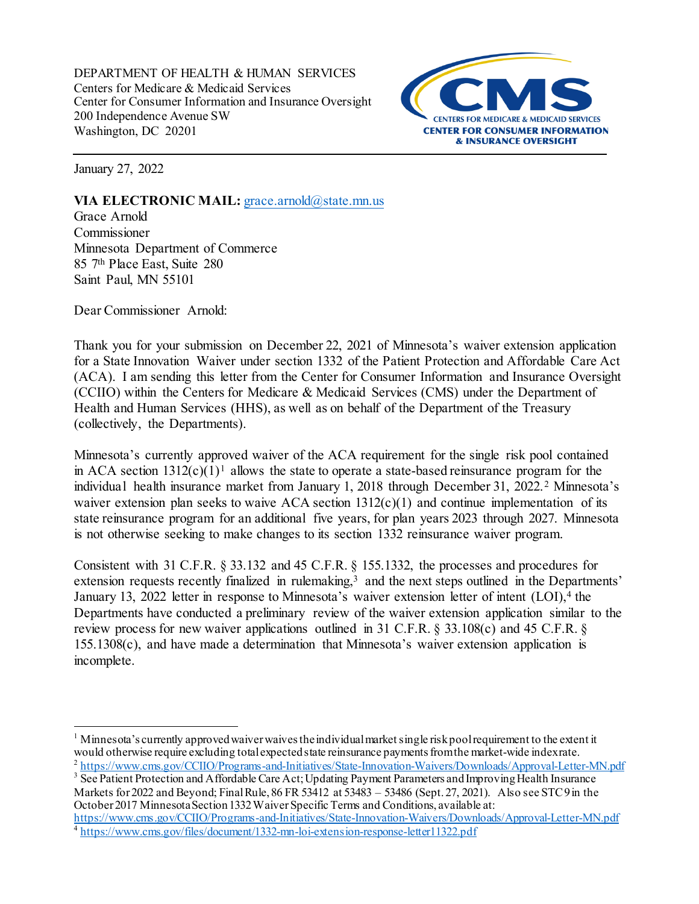DEPARTMENT OF HEALTH & HUMAN SERVICES Centers for Medicare & Medicaid Services Center for Consumer Information and Insurance Oversight 200 Independence Avenue SW Washington, DC 20201



January 27, 2022

## **VIA ELECTRONIC MAIL:** [grace.arnold@state.mn.us](mailto:grace.arnold@state.mn.us)

Grace Arnold Commissioner Minnesota Department of Commerce 85 7 th Place East, Suite 280 Saint Paul, MN 55101

Dear Commissioner Arnold:

Thank you for your submission on December 22, 2021 of Minnesota's waiver extension application for a State Innovation Waiver under section 1332 of the Patient Protection and Affordable Care Act (ACA). I am sending this letter from the Center for Consumer Information and Insurance Oversight (CCIIO) within the Centers for Medicare & Medicaid Services (CMS) under the Department of Health and Human Services (HHS), as well as on behalf of the Department of the Treasury (collectively, the Departments).

Minnesota's currently approved waiver of the ACA requirement for the single risk pool contained in ACA section  $1312(c)(1)^1$  $1312(c)(1)^1$  allows the state to operate a state-based reinsurance program for the individual health insurance market from January 1, 2018 through December 31, 2022. [2](#page-0-1) Minnesota's waiver extension plan seeks to waive ACA section  $1312(c)(1)$  and continue implementation of its state reinsurance program for an additional five years, for plan years 2023 through 2027. Minnesota is not otherwise seeking to make changes to its section 1332 reinsurance waiver program.

Consistent with 31 C.F.R. § 33.132 and 45 C.F.R. § 155.1332, the processes and procedures for extension requests recently finalized in rulemaking,<sup>[3](#page-0-2)</sup> and the next steps outlined in the Departments' January 13, 2022 letter in response to Minnesota's waiver extension letter of intent (LOI),<sup>[4](#page-0-3)</sup> the Departments have conducted a preliminary review of the waiver extension application similar to the review process for new waiver applications outlined in 31 C.F.R. § 33.108(c) and 45 C.F.R. § 155.1308(c), and have made a determination that Minnesota's waiver extension application is incomplete.

October 2017 Minnesota Section 1332 Waiver Specific Terms and Conditions, available at:

<span id="page-0-3"></span><https://www.cms.gov/CCIIO/Programs-and-Initiatives/State-Innovation-Waivers/Downloads/Approval-Letter-MN.pdf><br>4 https://www.cms.gov/files/document/1332-mn-loi-extension-response-letter11322.pdf

<span id="page-0-0"></span><sup>&</sup>lt;sup>1</sup> Minnesota's currently approved waiver waives the individual market single risk pool requirement to the extent it would otherwise require excluding total expected state reinsurance payments from the market-wide indexra

<span id="page-0-2"></span><span id="page-0-1"></span> $\frac{2 \text{ https://www.cms.gov/CCIIO/Programs-and-Initiatives/State-Important-Waires/Downloads/Approxal-Letter-MN.pdf}}{3 \text{ See Patient Protection and A ffordable Care Act; Update Payment Parameters and Improving Health Insurance}}$ Markets for 2022 and Beyond; Final Rule, 86 FR 53412 at 53483 – 53486 (Sept. 27, 2021). Also see STC9 in the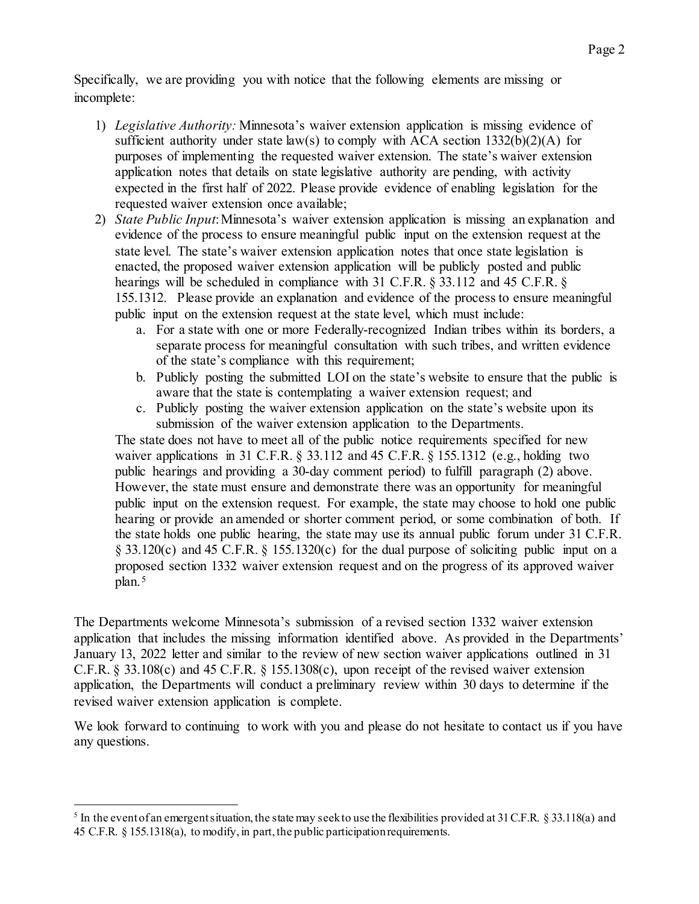Specifically, we are providing you with notice that the following elements are missing or incomplete:

- 1) *Legislative Authority:* Minnesota's waiver extension application is missing evidence of sufficient authority under state  $law(s)$  to comply with ACA section  $1332(b)(2)(A)$  for purposes of implementing the requested waiver extension. The state's waiver extension application notes that details on state legislative authority are pending, with activity expected in the first half of 2022. Please provide evidence of enabling legislation for the requested waiver extension once available;
- 2) *State Public Input*: Minnesota's waiver extension application is missing an explanation and evidence of the process to ensure meaningful public input on the extension request at the state level. The state's waiver extension application notes that once state legislation is enacted, the proposed waiver extension application will be publicly posted and public hearings will be scheduled in compliance with 31 C.F.R. § 33.112 and 45 C.F.R. § 155.1312. Please provide an explanation and evidence of the process to ensure meaningful public input on the extension request at the state level, which must include:
	- a. For a state with one or more Federally-recognized Indian tribes within its borders, a separate process for meaningful consultation with such tribes, and written evidence of the state's compliance with this requirement;
	- b. Publicly posting the submitted LOI on the state's website to ensure that the public is aware that the state is contemplating a waiver extension request; and
	- c. Publicly posting the waiver extension application on the state's website upon its submission of the waiver extension application to the Departments.

The state does not have to meet all of the public notice requirements specified for new waiver applications in 31 C.F.R.  $\S$  33.112 and 45 C.F.R.  $\S$  155.1312 (e.g., holding two public hearings and providing a 30-day comment period) to fulfill paragraph (2) above. However, the state must ensure and demonstrate there was an opportunity for meaningful public input on the extension request. For example, the state may choose to hold one public hearing or provide an amended or shorter comment period, or some combination of both. If the state holds one public hearing, the state may use its annual public forum under 31 C.F.R. § 33.120(c) and 45 C.F.R. § 155.1320(c) for the dual purpose of soliciting public input on a proposed section 1332 waiver extension request and on the progress of its approved waiver plan.[5](#page-1-0)

The Departments welcome Minnesota's submission of a revised section 1332 waiver extension application that includes the missing information identified above. As provided in the Departments' January 13, 2022 letter and similar to the review of new section waiver applications outlined in 31 C.F.R. § 33.108(c) and 45 C.F.R. § 155.1308(c), upon receipt of the revised waiver extension application, the Departments will conduct a preliminary review within 30 days to determine if the revised waiver extension application is complete.

We look forward to continuing to work with you and please do not hesitate to contact us if you have any questions.

1

<span id="page-1-0"></span><sup>&</sup>lt;sup>5</sup> In the event of an emergent situation, the state may seek to use the flexibilities provided at 31 C.F.R. § 33.118(a) and 45 C.F.R. § 155.1318(a), to modify, in part, the public participation requirements.